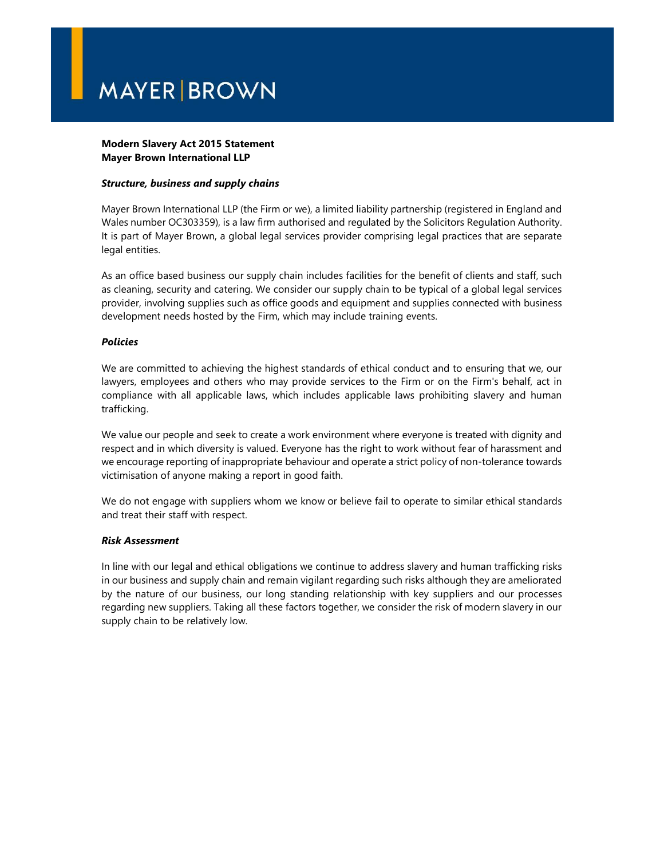# **MAYER BROWN**

### Modern Slavery Act 2015 Statement Mayer Brown International LLP

### Structure, business and supply chains

Mayer Brown International LLP (the Firm or we), a limited liability partnership (registered in England and Wales number OC303359), is a law firm authorised and regulated by the Solicitors Regulation Authority. It is part of Mayer Brown, a global legal services provider comprising legal practices that are separate legal entities.

As an office based business our supply chain includes facilities for the benefit of clients and staff, such as cleaning, security and catering. We consider our supply chain to be typical of a global legal services provider, involving supplies such as office goods and equipment and supplies connected with business development needs hosted by the Firm, which may include training events.

### Policies

We are committed to achieving the highest standards of ethical conduct and to ensuring that we, our lawyers, employees and others who may provide services to the Firm or on the Firm's behalf, act in compliance with all applicable laws, which includes applicable laws prohibiting slavery and human trafficking.

We value our people and seek to create a work environment where everyone is treated with dignity and respect and in which diversity is valued. Everyone has the right to work without fear of harassment and we encourage reporting of inappropriate behaviour and operate a strict policy of non-tolerance towards victimisation of anyone making a report in good faith.

We do not engage with suppliers whom we know or believe fail to operate to similar ethical standards and treat their staff with respect.

#### Risk Assessment

In line with our legal and ethical obligations we continue to address slavery and human trafficking risks in our business and supply chain and remain vigilant regarding such risks although they are ameliorated by the nature of our business, our long standing relationship with key suppliers and our processes regarding new suppliers. Taking all these factors together, we consider the risk of modern slavery in our supply chain to be relatively low.